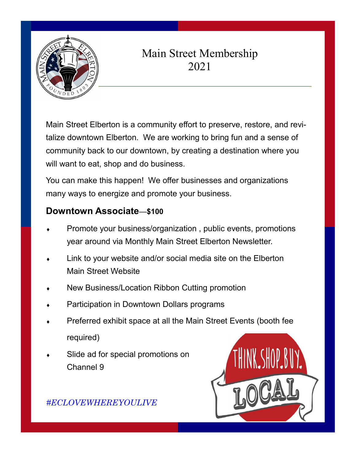

## Main Street Membership 2021

Main Street Elberton is a community effort to preserve, restore, and revitalize downtown Elberton. We are working to bring fun and a sense of community back to our downtown, by creating a destination where you will want to eat, shop and do business.

You can make this happen! We offer businesses and organizations many ways to energize and promote your business.

## **Downtown Associate**—**\$100**

- Promote your business/organization , public events, promotions year around via Monthly Main Street Elberton Newsletter.
- Link to your website and/or social media site on the Elberton Main Street Website
- New Business/Location Ribbon Cutting promotion
- Participation in Downtown Dollars programs
- Preferred exhibit space at all the Main Street Events (booth fee required)
- Slide ad for special promotions on Channel 9



*#ECLOVEWHEREYOULIVE*